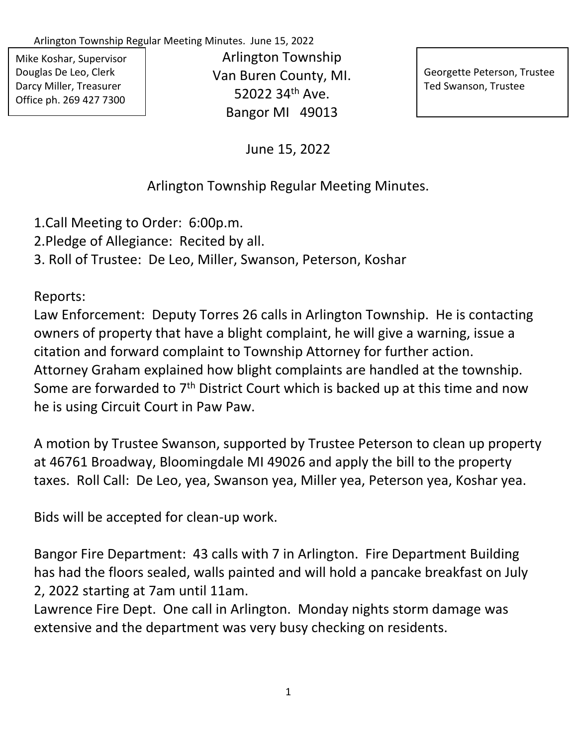Arlington Township Regular Meeting Minutes. June 15, 2022

Mike Koshar, Supervisor Douglas De Leo, Clerk Darcy Miller, Treasurer Office ph. 269 427 7300

Arlington Township Van Buren County, MI. 52022 34th Ave. Bangor MI 49013

Georgette Peterson, Trustee Ted Swanson, Trustee

June 15, 2022

## Arlington Township Regular Meeting Minutes.

1.Call Meeting to Order: 6:00p.m.

2.Pledge of Allegiance: Recited by all.

3. Roll of Trustee: De Leo, Miller, Swanson, Peterson, Koshar

Reports:

Law Enforcement: Deputy Torres 26 calls in Arlington Township. He is contacting owners of property that have a blight complaint, he will give a warning, issue a citation and forward complaint to Township Attorney for further action. Attorney Graham explained how blight complaints are handled at the township. Some are forwarded to 7<sup>th</sup> District Court which is backed up at this time and now he is using Circuit Court in Paw Paw.

A motion by Trustee Swanson, supported by Trustee Peterson to clean up property at 46761 Broadway, Bloomingdale MI 49026 and apply the bill to the property taxes. Roll Call: De Leo, yea, Swanson yea, Miller yea, Peterson yea, Koshar yea.

Bids will be accepted for clean-up work.

Bangor Fire Department: 43 calls with 7 in Arlington. Fire Department Building has had the floors sealed, walls painted and will hold a pancake breakfast on July 2, 2022 starting at 7am until 11am.

Lawrence Fire Dept. One call in Arlington. Monday nights storm damage was extensive and the department was very busy checking on residents.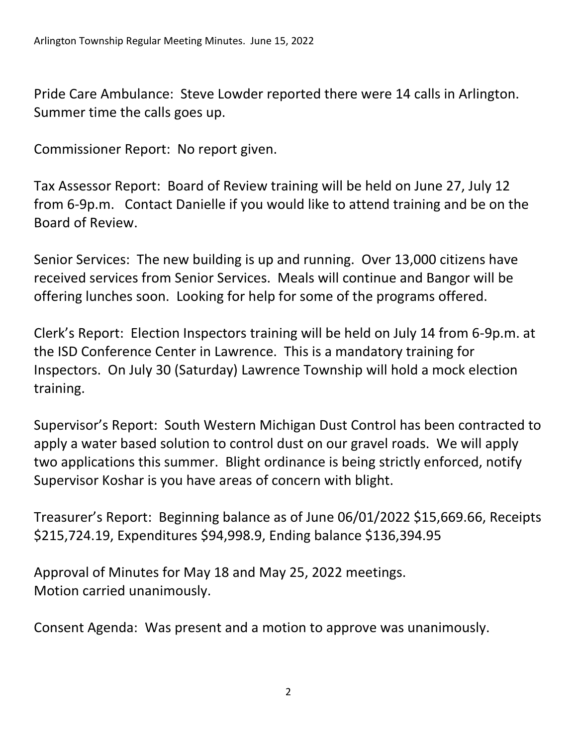Pride Care Ambulance: Steve Lowder reported there were 14 calls in Arlington. Summer time the calls goes up.

Commissioner Report: No report given.

Tax Assessor Report: Board of Review training will be held on June 27, July 12 from 6-9p.m. Contact Danielle if you would like to attend training and be on the Board of Review.

Senior Services: The new building is up and running. Over 13,000 citizens have received services from Senior Services. Meals will continue and Bangor will be offering lunches soon. Looking for help for some of the programs offered.

Clerk's Report: Election Inspectors training will be held on July 14 from 6-9p.m. at the ISD Conference Center in Lawrence. This is a mandatory training for Inspectors. On July 30 (Saturday) Lawrence Township will hold a mock election training.

Supervisor's Report: South Western Michigan Dust Control has been contracted to apply a water based solution to control dust on our gravel roads. We will apply two applications this summer. Blight ordinance is being strictly enforced, notify Supervisor Koshar is you have areas of concern with blight.

Treasurer's Report: Beginning balance as of June 06/01/2022 \$15,669.66, Receipts \$215,724.19, Expenditures \$94,998.9, Ending balance \$136,394.95

Approval of Minutes for May 18 and May 25, 2022 meetings. Motion carried unanimously.

Consent Agenda: Was present and a motion to approve was unanimously.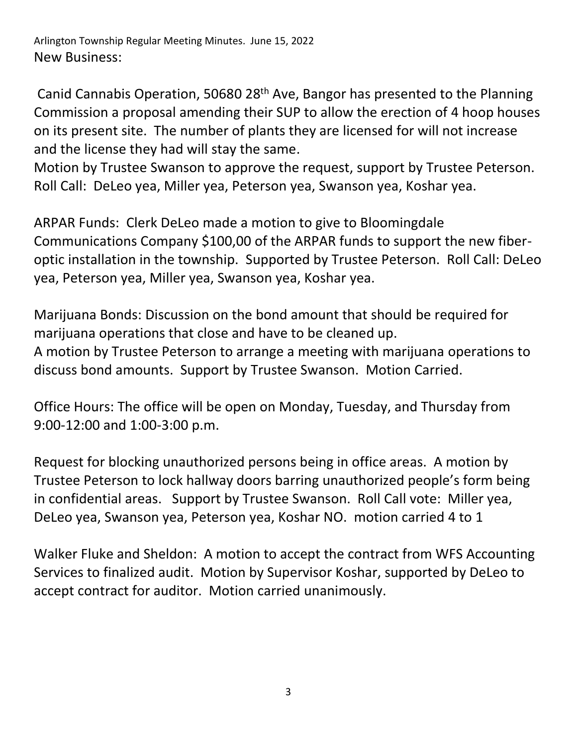Arlington Township Regular Meeting Minutes. June 15, 2022 New Business:

Canid Cannabis Operation, 50680 28th Ave, Bangor has presented to the Planning Commission a proposal amending their SUP to allow the erection of 4 hoop houses on its present site. The number of plants they are licensed for will not increase and the license they had will stay the same.

Motion by Trustee Swanson to approve the request, support by Trustee Peterson. Roll Call: DeLeo yea, Miller yea, Peterson yea, Swanson yea, Koshar yea.

ARPAR Funds: Clerk DeLeo made a motion to give to Bloomingdale Communications Company \$100,00 of the ARPAR funds to support the new fiberoptic installation in the township. Supported by Trustee Peterson. Roll Call: DeLeo yea, Peterson yea, Miller yea, Swanson yea, Koshar yea.

Marijuana Bonds: Discussion on the bond amount that should be required for marijuana operations that close and have to be cleaned up. A motion by Trustee Peterson to arrange a meeting with marijuana operations to discuss bond amounts. Support by Trustee Swanson. Motion Carried.

Office Hours: The office will be open on Monday, Tuesday, and Thursday from 9:00-12:00 and 1:00-3:00 p.m.

Request for blocking unauthorized persons being in office areas. A motion by Trustee Peterson to lock hallway doors barring unauthorized people's form being in confidential areas. Support by Trustee Swanson. Roll Call vote: Miller yea, DeLeo yea, Swanson yea, Peterson yea, Koshar NO. motion carried 4 to 1

Walker Fluke and Sheldon: A motion to accept the contract from WFS Accounting Services to finalized audit. Motion by Supervisor Koshar, supported by DeLeo to accept contract for auditor. Motion carried unanimously.